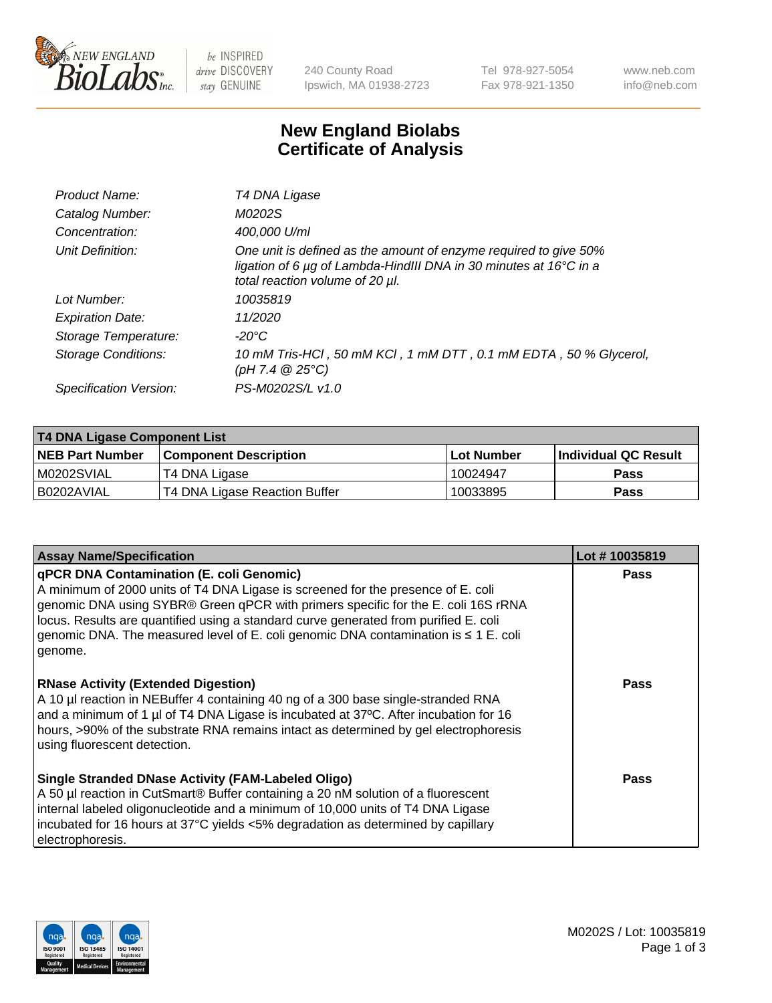

be INSPIRED drive DISCOVERY stay GENUINE

240 County Road Ipswich, MA 01938-2723 Tel 978-927-5054 Fax 978-921-1350 www.neb.com info@neb.com

## **New England Biolabs Certificate of Analysis**

| Product Name:              | T4 DNA Ligase                                                                                                                                                                           |
|----------------------------|-----------------------------------------------------------------------------------------------------------------------------------------------------------------------------------------|
| Catalog Number:            | M0202S                                                                                                                                                                                  |
| Concentration:             | 400,000 U/ml                                                                                                                                                                            |
| Unit Definition:           | One unit is defined as the amount of enzyme required to give 50%<br>ligation of 6 $\mu$ g of Lambda-HindIII DNA in 30 minutes at 16 $\degree$ C in a<br>total reaction volume of 20 µl. |
| Lot Number:                | 10035819                                                                                                                                                                                |
| <b>Expiration Date:</b>    | 11/2020                                                                                                                                                                                 |
| Storage Temperature:       | -20°C                                                                                                                                                                                   |
| <b>Storage Conditions:</b> | 10 mM Tris-HCl, 50 mM KCl, 1 mM DTT, 0.1 mM EDTA, 50 % Glycerol,<br>(pH 7.4 $@25°C$ )                                                                                                   |
| Specification Version:     | PS-M0202S/L v1.0                                                                                                                                                                        |

| <b>T4 DNA Ligase Component List</b> |                               |            |                      |  |
|-------------------------------------|-------------------------------|------------|----------------------|--|
| <b>NEB Part Number</b>              | <b>Component Description</b>  | Lot Number | Individual QC Result |  |
| IM0202SVIAL                         | T4 DNA Ligase                 | 10024947   | <b>Pass</b>          |  |
| I B0202AVIAL                        | T4 DNA Ligase Reaction Buffer | 10033895   | <b>Pass</b>          |  |

| <b>Assay Name/Specification</b>                                                                                                                                                                                                                                                                                                                                                                                         | Lot #10035819 |
|-------------------------------------------------------------------------------------------------------------------------------------------------------------------------------------------------------------------------------------------------------------------------------------------------------------------------------------------------------------------------------------------------------------------------|---------------|
| <b>qPCR DNA Contamination (E. coli Genomic)</b><br>A minimum of 2000 units of T4 DNA Ligase is screened for the presence of E. coli<br>genomic DNA using SYBR® Green qPCR with primers specific for the E. coli 16S rRNA<br>locus. Results are quantified using a standard curve generated from purified E. coli<br>genomic DNA. The measured level of E. coli genomic DNA contamination is $\leq 1$ E. coli<br>genome. | <b>Pass</b>   |
| <b>RNase Activity (Extended Digestion)</b><br>A 10 µl reaction in NEBuffer 4 containing 40 ng of a 300 base single-stranded RNA<br>and a minimum of 1 µl of T4 DNA Ligase is incubated at 37°C. After incubation for 16<br>hours, >90% of the substrate RNA remains intact as determined by gel electrophoresis<br>using fluorescent detection.                                                                         | <b>Pass</b>   |
| <b>Single Stranded DNase Activity (FAM-Labeled Oligo)</b><br>A 50 µl reaction in CutSmart® Buffer containing a 20 nM solution of a fluorescent<br>internal labeled oligonucleotide and a minimum of 10,000 units of T4 DNA Ligase<br>incubated for 16 hours at 37°C yields <5% degradation as determined by capillary<br>electrophoresis.                                                                               | <b>Pass</b>   |

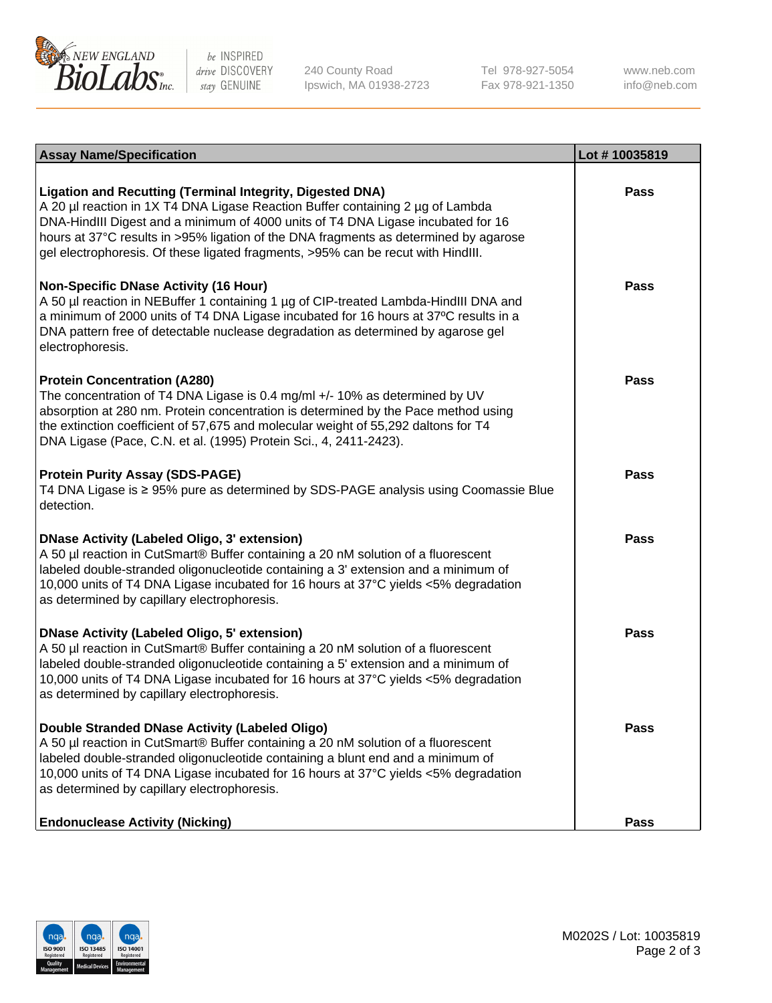

be INSPIRED drive DISCOVERY stay GENUINE

240 County Road Ipswich, MA 01938-2723 Tel 978-927-5054 Fax 978-921-1350

www.neb.com info@neb.com

| <b>Assay Name/Specification</b>                                                                                                                                                                                                                                                                                                                                                                                    | Lot #10035819 |
|--------------------------------------------------------------------------------------------------------------------------------------------------------------------------------------------------------------------------------------------------------------------------------------------------------------------------------------------------------------------------------------------------------------------|---------------|
| <b>Ligation and Recutting (Terminal Integrity, Digested DNA)</b><br>A 20 µl reaction in 1X T4 DNA Ligase Reaction Buffer containing 2 µg of Lambda<br>DNA-HindIII Digest and a minimum of 4000 units of T4 DNA Ligase incubated for 16<br>hours at 37°C results in >95% ligation of the DNA fragments as determined by agarose<br>gel electrophoresis. Of these ligated fragments, >95% can be recut with HindIII. | Pass          |
| <b>Non-Specific DNase Activity (16 Hour)</b><br>A 50 µl reaction in NEBuffer 1 containing 1 µg of CIP-treated Lambda-HindIII DNA and<br>a minimum of 2000 units of T4 DNA Ligase incubated for 16 hours at 37°C results in a<br>DNA pattern free of detectable nuclease degradation as determined by agarose gel<br>electrophoresis.                                                                               | <b>Pass</b>   |
| <b>Protein Concentration (A280)</b><br>The concentration of T4 DNA Ligase is 0.4 mg/ml +/- 10% as determined by UV<br>absorption at 280 nm. Protein concentration is determined by the Pace method using<br>the extinction coefficient of 57,675 and molecular weight of 55,292 daltons for T4<br>DNA Ligase (Pace, C.N. et al. (1995) Protein Sci., 4, 2411-2423).                                                | Pass          |
| <b>Protein Purity Assay (SDS-PAGE)</b><br>T4 DNA Ligase is ≥ 95% pure as determined by SDS-PAGE analysis using Coomassie Blue<br>detection.                                                                                                                                                                                                                                                                        | Pass          |
| <b>DNase Activity (Labeled Oligo, 3' extension)</b><br>A 50 µl reaction in CutSmart® Buffer containing a 20 nM solution of a fluorescent<br>labeled double-stranded oligonucleotide containing a 3' extension and a minimum of<br>10,000 units of T4 DNA Ligase incubated for 16 hours at 37°C yields <5% degradation<br>as determined by capillary electrophoresis.                                               | Pass          |
| <b>DNase Activity (Labeled Oligo, 5' extension)</b><br>A 50 µl reaction in CutSmart® Buffer containing a 20 nM solution of a fluorescent<br>labeled double-stranded oligonucleotide containing a 5' extension and a minimum of<br>10,000 units of T4 DNA Ligase incubated for 16 hours at 37°C yields <5% degradation<br>as determined by capillary electrophoresis.                                               | Pass          |
| <b>Double Stranded DNase Activity (Labeled Oligo)</b><br>A 50 µl reaction in CutSmart® Buffer containing a 20 nM solution of a fluorescent<br>labeled double-stranded oligonucleotide containing a blunt end and a minimum of<br>10,000 units of T4 DNA Ligase incubated for 16 hours at 37°C yields <5% degradation<br>as determined by capillary electrophoresis.                                                | Pass          |
| <b>Endonuclease Activity (Nicking)</b>                                                                                                                                                                                                                                                                                                                                                                             | Pass          |